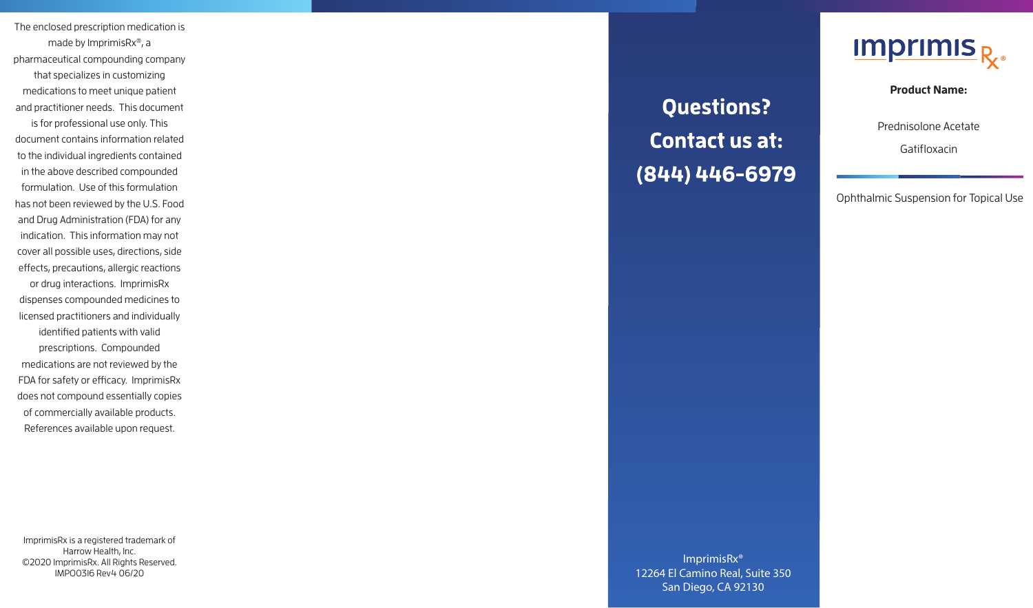The enclosed prescription medication is made by ImprimisRx ® , a pharmaceutical compounding company that specializes in customizing medications to meet unique patient and practitioner needs. This document is for professional use only. This document contains information related to the individual ingredients contained in the above described compounded formulation. Use of this formulation has not been reviewed by the U.S. Food and Drug Administration (FDA) for any indication. This information may not cover all possible uses, directions, side effects, precautions, allergic reactions or drug interactions. ImprimisRx dispenses compounded medicines to licensed practitioners and individually identified patients with valid prescriptions. Compounded medications are not reviewed by the FDA for safety or efficacy. ImprimisRx does not compound essentially copies of commercially available products. References available upon request.

ImprimisRx is a registered trademark of Harrow Health, Inc. ©2020 ImprimisRx. All Rights Reserved. IMPO0316 Rev4 06/20

**Questions?** Contact us at: (844) 446-6979



**Product Name:** 

Prednisolone Acetate

Gatifloxacin

Ophthalmic Suspension for Topical Use

ImprimisRx® 12264 El Camino Real, Suite 350 San Diego, CA 92130